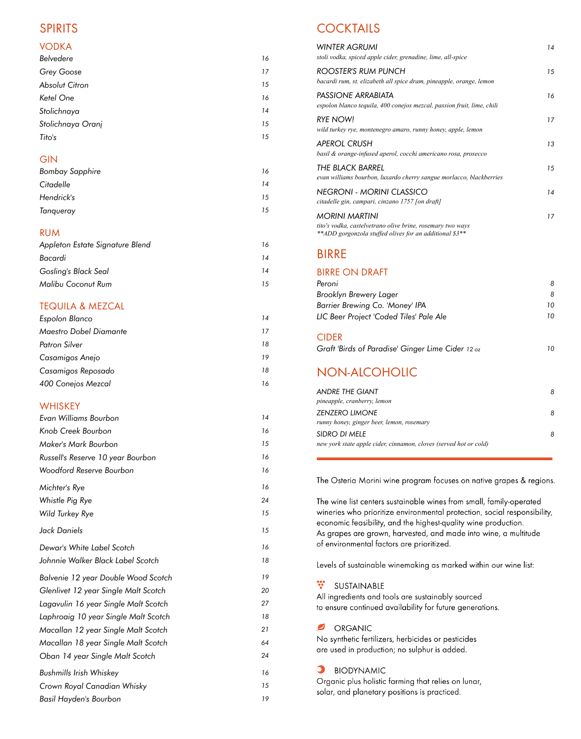### SPIRITS

#### VODKA

| Belvedere             | 16 |
|-----------------------|----|
| <b>Grey Goose</b>     | 17 |
| <b>Absolut Citron</b> | 15 |
| Ketel One             | 16 |
| Stolichnaya           | 14 |
| Stolichnaya Oranj     | 15 |
| Tito's                | 15 |
|                       |    |

#### **GIN**

| <b>Bombay Sapphire</b> | 16 |
|------------------------|----|
| Citadelle              | 14 |
| Hendrick's             | 15 |
| Tanqueray              | 15 |

### RUM

| Appleton Estate Signature Blend | 16 |  |
|---------------------------------|----|--|
| Bacardi                         | 14 |  |
| Gosling's Black Seal            | 14 |  |
| <b>Malibu Coconut Rum</b>       | 15 |  |
|                                 |    |  |

### TEQUILA & MEZCAL

| Espolon Blanco                | 14 |
|-------------------------------|----|
| <b>Maestro Dobel Diamante</b> | 17 |
| Patron Silver                 | 18 |
| Casamigos Anejo               | 19 |
| Casamigos Reposado            | 18 |
| 400 Conejos Mezcal            | 16 |

#### **WHISKEY**

| Evan Williams Bourbon                | 14 |
|--------------------------------------|----|
| Knob Creek Bourbon                   | 16 |
| <b>Maker's Mark Bourbon</b>          | 15 |
| Russell's Reserve 10 year Bourbon    | 16 |
| <b>Woodford Reserve Bourbon</b>      | 16 |
| Michter's Rye                        | 16 |
| Whistle Pig Rye                      | 24 |
| Wild Turkey Rye                      | 15 |
| Jack Daniels                         | 15 |
| Dewar's White Label Scotch           | 16 |
| Johnnie Walker Black Label Scotch    | 18 |
| Balvenie 12 year Double Wood Scotch  | 19 |
| Glenlivet 12 year Single Malt Scotch | 20 |
| Lagavulin 16 year Single Malt Scotch | 27 |
| Laphroaig 10 year Single Malt Scotch | 18 |
| Macallan 12 year Single Malt Scotch  | 21 |
| Macallan 18 year Single Malt Scotch  | 64 |
| Oban 14 year Single Malt Scotch      | 24 |
| <b>Bushmills Irish Whiskey</b>       | 16 |
| Crown Royal Canadian Whisky          | 15 |
| <b>Basil Hayden's Bourbon</b>        | 19 |

# **COCKTAILS**

| <b>WINTER AGRUMI</b><br>stoli vodka, spiced apple cider, grenadine, lime, all-spice                                                            | 14 |
|------------------------------------------------------------------------------------------------------------------------------------------------|----|
| <b>ROOSTER'S RUM PUNCH</b><br>bacardi rum, st. elizabeth all spice dram, pineapple, orange, lemon                                              | 15 |
| PASSIONE ARRABIATA<br>espolon blanco tequila, 400 conejos mezcal, passion fruit, lime, chili                                                   | 16 |
| <b>RYE NOW!</b><br>wild turkey rye, montenegro amaro, runny honey, apple, lemon                                                                | 17 |
| APEROL CRUSH<br>basil & orange-infused aperol, cocchi americano rosa, prosecco                                                                 | 13 |
| THE BLACK BARREL<br>evan williams bourbon, luxardo cherry sangue morlacco, blackberries                                                        | 15 |
| <b>NEGRONI - MORINI CLASSICO</b><br>citadelle gin, campari, cinzano 1757 [on draft]                                                            | 14 |
| <b>MORINI MARTINI</b><br>tito's vodka, castelvetrano olive brine, rosemary two ways<br>**ADD gorgonzola stuffed olives for an additional \$3** | 17 |
| <b>BIRRE</b>                                                                                                                                   |    |
| <b>BIRRE ON DRAFT</b>                                                                                                                          |    |
| Peroni                                                                                                                                         | 8  |
| <b>Brooklyn Brewery Lager</b>                                                                                                                  | 8  |
| Barrier Brewing Co. 'Money' IPA                                                                                                                | 10 |
| LIC Beer Project 'Coded Tiles' Pale Ale                                                                                                        | 10 |
| <b>CIDER</b>                                                                                                                                   |    |
| Graft 'Birds of Paradise' Ginger Lime Cider 12 oz                                                                                              | 10 |
| NON-ALCOHOLIC                                                                                                                                  |    |
| <b>ANDRE THE GIANT</b><br>pineapple, cranberry, lemon                                                                                          | 8  |
| <b>ZENZERO LIMONE</b>                                                                                                                          | 8  |
| runny honey, ginger beer, lemon, rosemary                                                                                                      |    |
| SIDRO DI MELE                                                                                                                                  | 8  |

new york state apple cider, cinnamon, cloves (served hot or cold)

The Osteria Morini wine program focuses on native grapes & regions.

The wine list centers sustainable wines from small, family-operated wineries who prioritize environmental protection, social responsibility, economic feasibility, and the highest-quality wine production. As grapes are grown, harvested, and made into wine, a multitude of environmental factors are prioritized.

Levels of sustainable winemaking as marked within our wine list:

\*\* SUSTAINABLE

All ingredients and tools are sustainably sourced to ensure continued availability for future generations.

ORGANIC

No synthetic fertilizers, herbicides or pesticides are used in production; no sulphur is added.

**O** BIODYNAMIC

Organic plus holistic farming that relies on lunar, solar, and planetary positions is practiced.